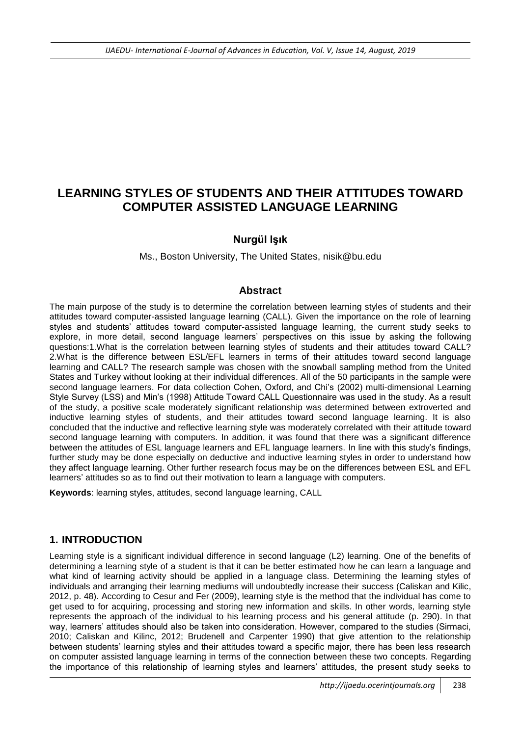# **LEARNING STYLES OF STUDENTS AND THEIR ATTITUDES TOWARD COMPUTER ASSISTED LANGUAGE LEARNING**

### **Nurgül Işık**

Ms., Boston University, The United States, nisik@bu.edu

### **Abstract**

The main purpose of the study is to determine the correlation between learning styles of students and their attitudes toward computer-assisted language learning (CALL). Given the importance on the role of learning styles and students" attitudes toward computer-assisted language learning, the current study seeks to explore, in more detail, second language learners" perspectives on this issue by asking the following questions:1.What is the correlation between learning styles of students and their attitudes toward CALL? 2.What is the difference between ESL/EFL learners in terms of their attitudes toward second language learning and CALL? The research sample was chosen with the snowball sampling method from the United States and Turkey without looking at their individual differences. All of the 50 participants in the sample were second language learners. For data collection Cohen, Oxford, and Chi's (2002) multi-dimensional Learning Style Survey (LSS) and Min"s (1998) Attitude Toward CALL Questionnaire was used in the study. As a result of the study, a positive scale moderately significant relationship was determined between extroverted and inductive learning styles of students, and their attitudes toward second language learning. It is also concluded that the inductive and reflective learning style was moderately correlated with their attitude toward second language learning with computers. In addition, it was found that there was a significant difference between the attitudes of ESL language learners and EFL language learners. In line with this study"s findings, further study may be done especially on deductive and inductive learning styles in order to understand how they affect language learning. Other further research focus may be on the differences between ESL and EFL learners" attitudes so as to find out their motivation to learn a language with computers.

**Keywords**: learning styles, attitudes, second language learning, CALL

## **1. INTRODUCTION**

Learning style is a significant individual difference in second language (L2) learning. One of the benefits of determining a learning style of a student is that it can be better estimated how he can learn a language and what kind of learning activity should be applied in a language class. Determining the learning styles of individuals and arranging their learning mediums will undoubtedly increase their success (Caliskan and Kilic, 2012, p. 48). According to Cesur and Fer (2009), learning style is the method that the individual has come to get used to for acquiring, processing and storing new information and skills. In other words, learning style represents the approach of the individual to his learning process and his general attitude (p. 290). In that way, learners" attitudes should also be taken into consideration. However, compared to the studies (Sirmaci, 2010; Caliskan and Kilinc, 2012; Brudenell and Carpenter 1990) that give attention to the relationship between students" learning styles and their attitudes toward a specific major, there has been less research on computer assisted language learning in terms of the connection between these two concepts. Regarding the importance of this relationship of learning styles and learners" attitudes, the present study seeks to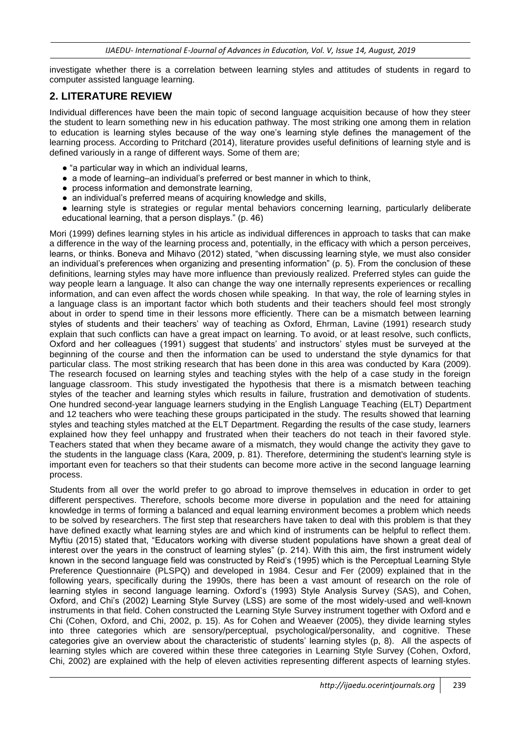investigate whether there is a correlation between learning styles and attitudes of students in regard to computer assisted language learning.

### **2. LITERATURE REVIEW**

Individual differences have been the main topic of second language acquisition because of how they steer the student to learn something new in his education pathway. The most striking one among them in relation to education is learning styles because of the way one"s learning style defines the management of the learning process. According to Pritchard (2014), literature provides useful definitions of learning style and is defined variously in a range of different ways. Some of them are;

- "a particular way in which an individual learns,
- $\bullet$  a mode of learning–an individual's preferred or best manner in which to think,
- process information and demonstrate learning,
- an individual's preferred means of acquiring knowledge and skills,
- learning style is strategies or regular mental behaviors concerning learning, particularly deliberate educational learning, that a person displays." (p. 46)

Mori (1999) defines learning styles in his article as individual differences in approach to tasks that can make a difference in the way of the learning process and, potentially, in the efficacy with which a person perceives, learns, or thinks. Boneva and Mihavo (2012) stated, "when discussing learning style, we must also consider an individual"s preferences when organizing and presenting information" (p. 5). From the conclusion of these definitions, learning styles may have more influence than previously realized. Preferred styles can guide the way people learn a language. It also can change the way one internally represents experiences or recalling information, and can even affect the words chosen while speaking. In that way, the role of learning styles in a language class is an important factor which both students and their teachers should feel most strongly about in order to spend time in their lessons more efficiently. There can be a mismatch between learning styles of students and their teachers" way of teaching as Oxford, Ehrman, Lavine (1991) research study explain that such conflicts can have a great impact on learning. To avoid, or at least resolve, such conflicts, Oxford and her colleagues (1991) suggest that students" and instructors" styles must be surveyed at the beginning of the course and then the information can be used to understand the style dynamics for that particular class. The most striking research that has been done in this area was conducted by Kara (2009). The research focused on learning styles and teaching styles with the help of a case study in the foreign language classroom. This study investigated the hypothesis that there is a mismatch between teaching styles of the teacher and learning styles which results in failure, frustration and demotivation of students. One hundred second-year language learners studying in the English Language Teaching (ELT) Department and 12 teachers who were teaching these groups participated in the study. The results showed that learning styles and teaching styles matched at the ELT Department. Regarding the results of the case study, learners explained how they feel unhappy and frustrated when their teachers do not teach in their favored style. Teachers stated that when they became aware of a mismatch, they would change the activity they gave to the students in the language class (Kara, 2009, p. 81). Therefore, determining the student's learning style is important even for teachers so that their students can become more active in the second language learning process.

Students from all over the world prefer to go abroad to improve themselves in education in order to get different perspectives. Therefore, schools become more diverse in population and the need for attaining knowledge in terms of forming a balanced and equal learning environment becomes a problem which needs to be solved by researchers. The first step that researchers have taken to deal with this problem is that they have defined exactly what learning styles are and which kind of instruments can be helpful to reflect them. Myftiu (2015) stated that, "Educators working with diverse student populations have shown a great deal of interest over the years in the construct of learning styles" (p. 214). With this aim, the first instrument widely known in the second language field was constructed by Reid"s (1995) which is the Perceptual Learning Style Preference Questionnaire (PLSPQ) and developed in 1984. Cesur and Fer (2009) explained that in the following years, specifically during the 1990s, there has been a vast amount of research on the role of learning styles in second language learning. Oxford's (1993) Style Analysis Survey (SAS), and Cohen, Oxford, and Chi"s (2002) Learning Style Survey (LSS) are some of the most widely-used and well-known instruments in that field. Cohen constructed the Learning Style Survey instrument together with Oxford and e Chi (Cohen, Oxford, and Chi, 2002, p. 15). As for Cohen and Weaever (2005), they divide learning styles into three categories which are sensory/perceptual, psychological/personality, and cognitive. These categories give an overview about the characteristic of students" learning styles (p, 8). All the aspects of learning styles which are covered within these three categories in Learning Style Survey (Cohen, Oxford, Chi, 2002) are explained with the help of eleven activities representing different aspects of learning styles.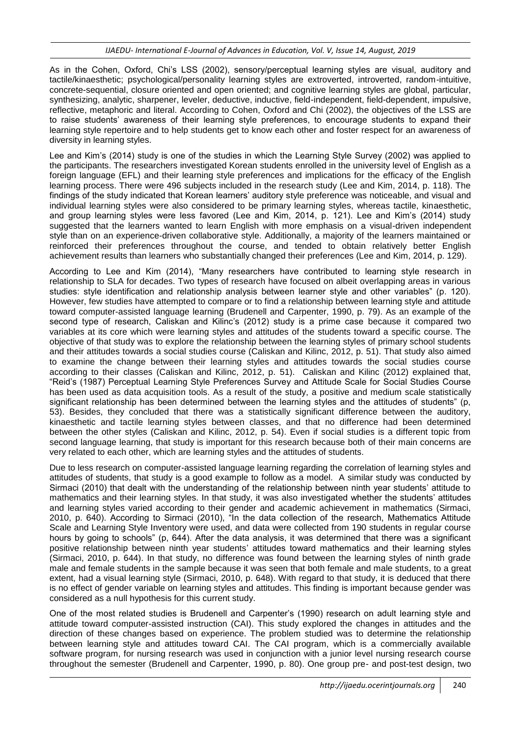As in the Cohen, Oxford, Chi"s LSS (2002), sensory/perceptual learning styles are visual, auditory and tactile/kinaesthetic; psychological/personality learning styles are extroverted, introverted, random-intuitive, concrete-sequential, closure oriented and open oriented; and cognitive learning styles are global, particular, synthesizing, analytic, sharpener, leveler, deductive, inductive, field-independent, field-dependent, impulsive, reflective, metaphoric and literal. According to Cohen, Oxford and Chi (2002), the objectives of the LSS are to raise students" awareness of their learning style preferences, to encourage students to expand their learning style repertoire and to help students get to know each other and foster respect for an awareness of diversity in learning styles.

Lee and Kim"s (2014) study is one of the studies in which the Learning Style Survey (2002) was applied to the participants. The researchers investigated Korean students enrolled in the university level of English as a foreign language (EFL) and their learning style preferences and implications for the efficacy of the English learning process. There were 496 subjects included in the research study (Lee and Kim, 2014, p. 118). The findings of the study indicated that Korean learners" auditory style preference was noticeable, and visual and individual learning styles were also considered to be primary learning styles, whereas tactile, kinaesthetic, and group learning styles were less favored (Lee and Kim, 2014, p. 121). Lee and Kim"s (2014) study suggested that the learners wanted to learn English with more emphasis on a visual-driven independent style than on an experience-driven collaborative style. Additionally, a majority of the learners maintained or reinforced their preferences throughout the course, and tended to obtain relatively better English achievement results than learners who substantially changed their preferences (Lee and Kim, 2014, p. 129).

According to Lee and Kim (2014), "Many researchers have contributed to learning style research in relationship to SLA for decades. Two types of research have focused on albeit overlapping areas in various studies: style identification and relationship analysis between learner style and other variables" (p. 120). However, few studies have attempted to compare or to find a relationship between learning style and attitude toward computer-assisted language learning (Brudenell and Carpenter, 1990, p. 79). As an example of the second type of research, Caliskan and Kilinc's (2012) study is a prime case because it compared two variables at its core which were learning styles and attitudes of the students toward a specific course. The objective of that study was to explore the relationship between the learning styles of primary school students and their attitudes towards a social studies course (Caliskan and Kilinc, 2012, p. 51). That study also aimed to examine the change between their learning styles and attitudes towards the social studies course according to their classes (Caliskan and Kilinc, 2012, p. 51). Caliskan and Kilinc (2012) explained that, "Reid"s (1987) Perceptual Learning Style Preferences Survey and Attitude Scale for Social Studies Course has been used as data acquisition tools. As a result of the study, a positive and medium scale statistically significant relationship has been determined between the learning styles and the attitudes of students" (p, 53). Besides, they concluded that there was a statistically significant difference between the auditory, kinaesthetic and tactile learning styles between classes, and that no difference had been determined between the other styles (Caliskan and Kilinc, 2012, p. 54). Even if social studies is a different topic from second language learning, that study is important for this research because both of their main concerns are very related to each other, which are learning styles and the attitudes of students.

Due to less research on computer-assisted language learning regarding the correlation of learning styles and attitudes of students, that study is a good example to follow as a model. A similar study was conducted by Sirmaci (2010) that dealt with the understanding of the relationship between ninth year students" attitude to mathematics and their learning styles. In that study, it was also investigated whether the students" attitudes and learning styles varied according to their gender and academic achievement in mathematics (Sirmaci, 2010, p. 640). According to Sirmaci (2010), "In the data collection of the research, Mathematics Attitude Scale and Learning Style Inventory were used, and data were collected from 190 students in regular course hours by going to schools" (p, 644). After the data analysis, it was determined that there was a significant positive relationship between ninth year students" attitudes toward mathematics and their learning styles (Sirmaci, 2010, p. 644). In that study, no difference was found between the learning styles of ninth grade male and female students in the sample because it was seen that both female and male students, to a great extent, had a visual learning style (Sirmaci, 2010, p. 648). With regard to that study, it is deduced that there is no effect of gender variable on learning styles and attitudes. This finding is important because gender was considered as a null hypothesis for this current study.

One of the most related studies is Brudenell and Carpenter's (1990) research on adult learning style and attitude toward computer-assisted instruction (CAI). This study explored the changes in attitudes and the direction of these changes based on experience. The problem studied was to determine the relationship between learning style and attitudes toward CAI. The CAI program, which is a commercially available software program, for nursing research was used in conjunction with a junior level nursing research course throughout the semester (Brudenell and Carpenter, 1990, p. 80). One group pre- and post-test design, two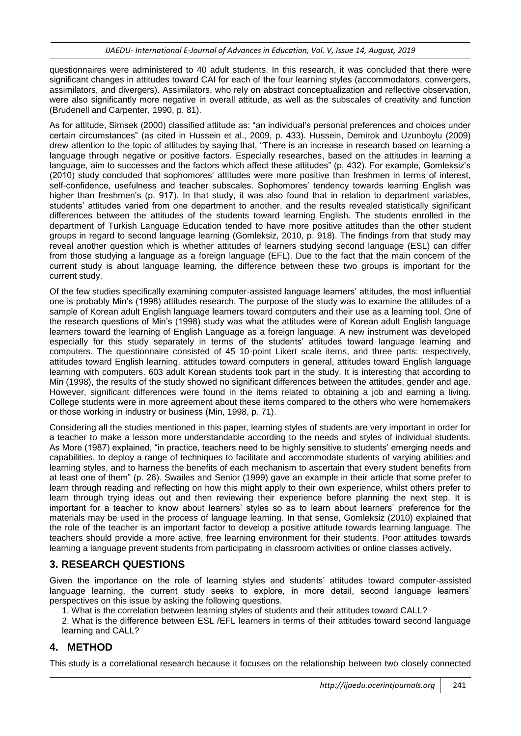questionnaires were administered to 40 adult students. In this research, it was concluded that there were significant changes in attitudes toward CAI for each of the four learning styles (accommodators, convergers, assimilators, and divergers). Assimilators, who rely on abstract conceptualization and reflective observation, were also significantly more negative in overall attitude, as well as the subscales of creativity and function (Brudenell and Carpenter, 1990, p. 81).

As for attitude, Simsek (2000) classified attitude as: "an individual"s personal preferences and choices under certain circumstances" (as cited in Hussein et al., 2009, p. 433). Hussein, Demirok and Uzunboylu (2009) drew attention to the topic of attitudes by saying that, "There is an increase in research based on learning a language through negative or positive factors. Especially researches, based on the attitudes in learning a language, aim to successes and the factors which affect these attitudes" (p, 432). For example, Gomleksiz's (2010) study concluded that sophomores" attitudes were more positive than freshmen in terms of interest, self-confidence, usefulness and teacher subscales. Sophomores' tendency towards learning English was higher than freshmen's (p. 917). In that study, it was also found that in relation to department variables, students" attitudes varied from one department to another, and the results revealed statistically significant differences between the attitudes of the students toward learning English. The students enrolled in the department of Turkish Language Education tended to have more positive attitudes than the other student groups in regard to second language learning (Gomleksiz, 2010, p. 918). The findings from that study may reveal another question which is whether attitudes of learners studying second language (ESL) can differ from those studying a language as a foreign language (EFL). Due to the fact that the main concern of the current study is about language learning, the difference between these two groups is important for the current study.

Of the few studies specifically examining computer-assisted language learners" attitudes, the most influential one is probably Min"s (1998) attitudes research. The purpose of the study was to examine the attitudes of a sample of Korean adult English language learners toward computers and their use as a learning tool. One of the research questions of Min"s (1998) study was what the attitudes were of Korean adult English language learners toward the learning of English Language as a foreign language. A new instrument was developed especially for this study separately in terms of the students' attitudes toward language learning and computers. The questionnaire consisted of 45 10-point Likert scale items, and three parts: respectively, attitudes toward English learning, attitudes toward computers in general, attitudes toward English language learning with computers. 603 adult Korean students took part in the study. It is interesting that according to Min (1998), the results of the study showed no significant differences between the attitudes, gender and age. However, significant differences were found in the items related to obtaining a job and earning a living. College students were in more agreement about these items compared to the others who were homemakers or those working in industry or business (Min, 1998, p. 71).

Considering all the studies mentioned in this paper, learning styles of students are very important in order for a teacher to make a lesson more understandable according to the needs and styles of individual students. As More (1987) explained, "in practice, teachers need to be highly sensitive to students" emerging needs and capabilities, to deploy a range of techniques to facilitate and accommodate students of varying abilities and learning styles, and to harness the benefits of each mechanism to ascertain that every student benefits from at least one of them" (p. 26). Swailes and Senior (1999) gave an example in their article that some prefer to learn through reading and reflecting on how this might apply to their own experience, whilst others prefer to learn through trying ideas out and then reviewing their experience before planning the next step. It is important for a teacher to know about learners" styles so as to learn about learners" preference for the materials may be used in the process of language learning. In that sense, Gomleksiz (2010) explained that the role of the teacher is an important factor to develop a positive attitude towards learning language. The teachers should provide a more active, free learning environment for their students. Poor attitudes towards learning a language prevent students from participating in classroom activities or online classes actively.

# **3. RESEARCH QUESTIONS**

Given the importance on the role of learning styles and students" attitudes toward computer-assisted language learning, the current study seeks to explore, in more detail, second language learners' perspectives on this issue by asking the following questions.

1. What is the correlation between learning styles of students and their attitudes toward CALL?

2. What is the difference between ESL /EFL learners in terms of their attitudes toward second language learning and CALL?

# **4. METHOD**

This study is a correlational research because it focuses on the relationship between two closely connected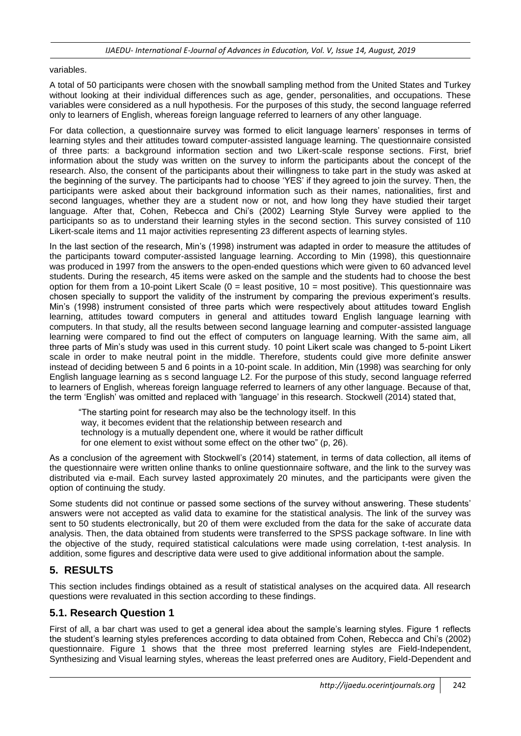### variables.

A total of 50 participants were chosen with the snowball sampling method from the United States and Turkey without looking at their individual differences such as age, gender, personalities, and occupations. These variables were considered as a null hypothesis. For the purposes of this study, the second language referred only to learners of English, whereas foreign language referred to learners of any other language.

For data collection, a questionnaire survey was formed to elicit language learners' responses in terms of learning styles and their attitudes toward computer-assisted language learning. The questionnaire consisted of three parts: a background information section and two Likert-scale response sections. First, brief information about the study was written on the survey to inform the participants about the concept of the research. Also, the consent of the participants about their willingness to take part in the study was asked at the beginning of the survey. The participants had to choose "YES" if they agreed to join the survey. Then, the participants were asked about their background information such as their names, nationalities, first and second languages, whether they are a student now or not, and how long they have studied their target language. After that, Cohen, Rebecca and Chi"s (2002) Learning Style Survey were applied to the participants so as to understand their learning styles in the second section. This survey consisted of 110 Likert-scale items and 11 major activities representing 23 different aspects of learning styles.

In the last section of the research, Min"s (1998) instrument was adapted in order to measure the attitudes of the participants toward computer-assisted language learning. According to Min (1998), this questionnaire was produced in 1997 from the answers to the open-ended questions which were given to 60 advanced level students. During the research, 45 items were asked on the sample and the students had to choose the best option for them from a 10-point Likert Scale ( $0 =$  least positive, 10 = most positive). This questionnaire was chosen specially to support the validity of the instrument by comparing the previous experiment"s results. Min"s (1998) instrument consisted of three parts which were respectively about attitudes toward English learning, attitudes toward computers in general and attitudes toward English language learning with computers. In that study, all the results between second language learning and computer-assisted language learning were compared to find out the effect of computers on language learning. With the same aim, all three parts of Min"s study was used in this current study. 10 point Likert scale was changed to 5-point Likert scale in order to make neutral point in the middle. Therefore, students could give more definite answer instead of deciding between 5 and 6 points in a 10-point scale. In addition, Min (1998) was searching for only English language learning as s second language L2. For the purpose of this study, second language referred to learners of English, whereas foreign language referred to learners of any other language. Because of that, the term "English" was omitted and replaced with "language" in this research. Stockwell (2014) stated that,

 "The starting point for research may also be the technology itself. In this way, it becomes evident that the relationship between research and technology is a mutually dependent one, where it would be rather difficult for one element to exist without some effect on the other two" (p, 26).

As a conclusion of the agreement with Stockwell"s (2014) statement, in terms of data collection, all items of the questionnaire were written online thanks to online questionnaire software, and the link to the survey was distributed via e-mail. Each survey lasted approximately 20 minutes, and the participants were given the option of continuing the study.

Some students did not continue or passed some sections of the survey without answering. These students" answers were not accepted as valid data to examine for the statistical analysis. The link of the survey was sent to 50 students electronically, but 20 of them were excluded from the data for the sake of accurate data analysis. Then, the data obtained from students were transferred to the SPSS package software. In line with the objective of the study, required statistical calculations were made using correlation, t-test analysis. In addition, some figures and descriptive data were used to give additional information about the sample.

## **5. RESULTS**

This section includes findings obtained as a result of statistical analyses on the acquired data. All research questions were revaluated in this section according to these findings.

### **5.1. Research Question 1**

First of all, a bar chart was used to get a general idea about the sample's learning styles. Figure 1 reflects the student"s learning styles preferences according to data obtained from Cohen, Rebecca and Chi"s (2002) questionnaire. Figure 1 shows that the three most preferred learning styles are Field-Independent, Synthesizing and Visual learning styles, whereas the least preferred ones are Auditory, Field-Dependent and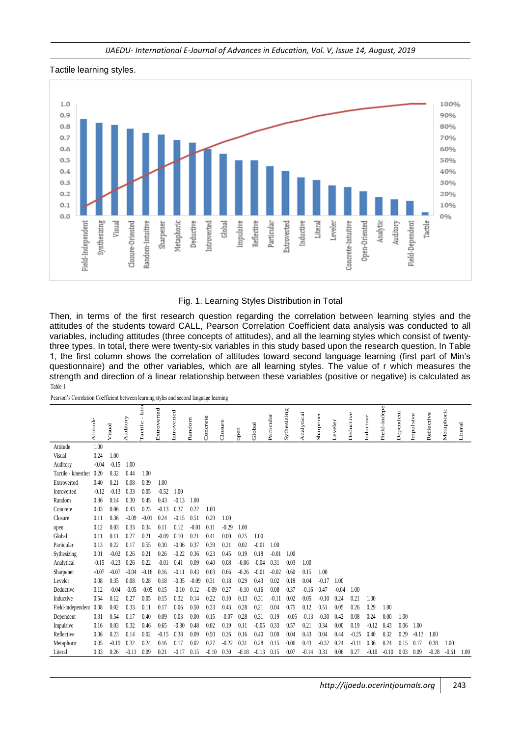#### *IJAEDU- International E-Journal of Advances in Education, Vol. V, Issue 14, August, 2019*

#### Tactile learning styles.



Fig. 1. Learning Styles Distribution in Total

Then, in terms of the first research question regarding the correlation between learning styles and the attitudes of the students toward CALL, Pearson Correlation Coefficient data analysis was conducted to all variables, including attitudes (three concepts of attitudes), and all the learning styles which consist of twentythree types. In total, there were twenty-six variables in this study based upon the research question. In Table 1, the first column shows the correlation of attitudes toward second language learning (first part of Min"s questionnaire) and the other variables, which are all learning styles. The value of r which measures the strength and direction of a linear relationship between these variables (positive or negative) is calculated as Table 1

Pearson's Correlation Coefficient between learning styles and second language learning

| rabie i             |                                                                                        |         |          |                     |             |             |         |          |         |         |         |            |             |            |           |         |           |           |              |           |           |            |            |         |
|---------------------|----------------------------------------------------------------------------------------|---------|----------|---------------------|-------------|-------------|---------|----------|---------|---------|---------|------------|-------------|------------|-----------|---------|-----------|-----------|--------------|-----------|-----------|------------|------------|---------|
|                     | Pearson's Correlation Coefficient between learning styles and second language learning |         |          |                     |             |             |         |          |         |         |         |            |             |            |           |         |           |           |              |           |           |            |            |         |
|                     | Attitude                                                                               | Visual  | Auditory | $-$ kine<br>Tactile | Extroverted | Introverted | Random  | Concrete | Closure | open    | Global  | Particular | Sythesizing | Analytical | Sharpener | eveler  | Deductive | Inductive | Field-indepe | Dependent | Impulsive | Reflective | Metaphoric | Literal |
| Attitude            | 1.00                                                                                   |         |          |                     |             |             |         |          |         |         |         |            |             |            |           |         |           |           |              |           |           |            |            |         |
| Visual              | 0.24                                                                                   | 1.00    |          |                     |             |             |         |          |         |         |         |            |             |            |           |         |           |           |              |           |           |            |            |         |
| Auditory            | $-0.04$                                                                                | $-0.15$ | 1.00     |                     |             |             |         |          |         |         |         |            |             |            |           |         |           |           |              |           |           |            |            |         |
| Tactile - kinesthet | 0.20                                                                                   | 0.32    | 0.44     | 1.00                |             |             |         |          |         |         |         |            |             |            |           |         |           |           |              |           |           |            |            |         |
| Extroverted         | 0.40                                                                                   | 0.21    | 0.08     | 0.39                | 1.00        |             |         |          |         |         |         |            |             |            |           |         |           |           |              |           |           |            |            |         |
| Introverted         | $-0.12$                                                                                | $-0.13$ | 0.33     | 0.05                | $-0.52$     | 1.00        |         |          |         |         |         |            |             |            |           |         |           |           |              |           |           |            |            |         |
| Random              | 0.36                                                                                   | 0.14    | 0.30     | 0.45                | 0.43        | $-0.13$     | 1.00    |          |         |         |         |            |             |            |           |         |           |           |              |           |           |            |            |         |
| Concrete            | 0.03                                                                                   | 0.06    | 0.43     | 0.23                | $-0.13$     | 0.37        | 0.22    | 1.00     |         |         |         |            |             |            |           |         |           |           |              |           |           |            |            |         |
| Closure             | 0.11                                                                                   | 0.36    | $-0.09$  | $-0.01$             | 0.24        | $-0.15$     | 0.51    | 0.29     | 1.00    |         |         |            |             |            |           |         |           |           |              |           |           |            |            |         |
| open                | 0.12                                                                                   | 0.03    | 0.33     | 0.34                | 0.11        | 0.12        | $-0.01$ | 0.11     | $-0.29$ | 1.00    |         |            |             |            |           |         |           |           |              |           |           |            |            |         |
| Global              | 0.11                                                                                   | 0.11    | 0.27     | 0.21                | $-0.09$     | 0.10        | 0.21    | 0.41     | 0.00    | 0.25    | 1.00    |            |             |            |           |         |           |           |              |           |           |            |            |         |
| Particular          | 0.13                                                                                   | 0.22    | 0.17     | 0.55                | 0.30        | $-0.06$     | 0.37    | 0.39     | 0.21    | 0.02    | $-0.01$ | 1.00       |             |            |           |         |           |           |              |           |           |            |            |         |
| Sythesizing         | 0.01                                                                                   | $-0.02$ | 0.26     | 0.21                | 0.26        | $-0.22$     | 0.36    | 0.23     | 0.45    | 0.19    | 0.18    | $-0.01$    | 1.00        |            |           |         |           |           |              |           |           |            |            |         |
| Analytical          | $-0.15$                                                                                | $-0.23$ | 0.26     | 0.22                | $-0.01$     | 0.41        | 0.09    | 0.40     | 0.08    | $-0.06$ | $-0.04$ | 0.31       | 0.03        | 1.00       |           |         |           |           |              |           |           |            |            |         |
| Sharpener           | $-0.07$                                                                                | $-0.07$ | $-0.04$  | $-0.16$             | 0.16        | $-0.11$     | 0.43    | 0.03     | 0.66    | $-0.26$ | $-0.01$ | $-0.02$    | 0.60        | 0.15       | 1.00      |         |           |           |              |           |           |            |            |         |
| Leveler             | 0.08                                                                                   | 0.35    | 0.08     | 0.28                | 0.18        | $-0.05$     | $-0.09$ | 0.31     | 0.18    | 0.29    | 0.43    | 0.02       | 0.18        | 0.04       | $-0.17$   | 1.00    |           |           |              |           |           |            |            |         |
| Deductive           | 0.12                                                                                   | $-0.04$ | $-0.05$  | $-0.05$             | 0.15        | $-0.10$     | 0.12    | $-0.09$  | 0.27    | $-0.10$ | 0.16    | 0.08       | 0.37        | $-0.16$    | 0.47      | $-0.04$ | 1.00      |           |              |           |           |            |            |         |
| Inductive           | 0.54                                                                                   | 0.12    | 0.27     | 0.05                | 0.15        | 0.32        | 0.14    | 0.22     | 0.10    | 0.13    | 0.31    | $-0.11$    | 0.02        | 0.05       | $-0.10$   | 0.24    | 0.21      | 1.00      |              |           |           |            |            |         |
| Field-independent   | 0.08                                                                                   | 0.02    | 0.33     | 0.11                | 0.17        | 0.06        | 0.50    | 0.33     | 0.43    | 0.28    | 0.21    | 0.04       | 0.75        | 0.12       | 0.51      | 0.05    | 0.26      | 0.29      | 1.00         |           |           |            |            |         |
| Dependent           | 0.31                                                                                   | 0.54    | 0.17     | 0.40                | 0.09        | 0.03        | 0.00    | 0.15     | $-0.07$ | 0.28    | 0.31    | 0.19       | $-0.05$     | $-0.13$    | $-0.30$   | 0.42    | 0.08      | 0.24      | 0.00         | 1.00      |           |            |            |         |
| Impulsive           | 0.16                                                                                   | 0.03    | 0.32     | 0.46                | 0.65        | $-0.30$     | 0.48    | 0.02     | 0.19    | 0.11    | $-0.05$ | 0.33       | 0.57        | 0.21       | 0.34      | 0.00    | 0.19      | $-0.12$   | 0.43         | 0.06      | 1.00      |            |            |         |
| Reflective          | 0.06                                                                                   | 0.23    | 0.14     | 0.02                | $-0.15$     | 0.38        | 0.09    | 0.50     | 0.26    | 0.16    | 0.40    | 0.00       | 0.04        | 0.43       | 0.04      | 0.44    | $-0.25$   | 0.40      | 0.32         | 0.29      | $-0.13$   | 1.00       |            |         |
| Metaphoric          | 0.05                                                                                   | $-0.19$ | 0.32     | 0.24                | 0.16        | 0.17        | 0.02    | 0.27     | $-0.22$ | 0.31    | 0.28    | 0.15       | 0.06        | 0.43       | $-0.32$   | 0.24    | $-0.11$   | 0.36      | 0.24         | 0.15      | 0.17      | 0.38       | 1.00       |         |
| Literal             | 0.33                                                                                   | 0.26    | $-0.11$  | 0.09                | 0.21        | $-0.17$     | 0.15    | $-0.10$  | 0.30    | $-0.18$ | $-0.13$ | 0.15       | 0.07        | $-0.14$    | 0.31      | 0.06    | 0.27      | $-0.10$   | $-0.10$      | 0.03      | 0.09      | $-0.28$    | $-0.61$    | 1.00    |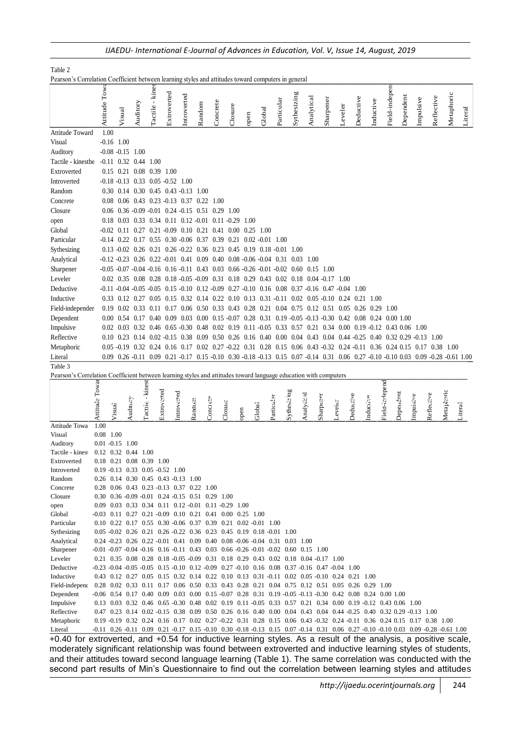|                                                                                                                             |                |              |                                         |          |                 |             | IJAEDU- International E-Journal of Advances in Education, Vol. V, Issue 14, August, 2019                                                                                                                              |        |          |         |      |        |            |             |            |            |           |         |           |           |                |           |           |           |            |            |         |         |
|-----------------------------------------------------------------------------------------------------------------------------|----------------|--------------|-----------------------------------------|----------|-----------------|-------------|-----------------------------------------------------------------------------------------------------------------------------------------------------------------------------------------------------------------------|--------|----------|---------|------|--------|------------|-------------|------------|------------|-----------|---------|-----------|-----------|----------------|-----------|-----------|-----------|------------|------------|---------|---------|
| Table 2                                                                                                                     |                |              |                                         |          |                 |             |                                                                                                                                                                                                                       |        |          |         |      |        |            |             |            |            |           |         |           |           |                |           |           |           |            |            |         |         |
| Pearson's Correlation Coefficient between learning styles and attitudes toward computers in general                         |                |              |                                         |          |                 |             |                                                                                                                                                                                                                       |        |          |         |      |        |            |             |            |            |           |         |           |           |                |           |           |           |            |            |         |         |
|                                                                                                                             |                | Attitude Tow |                                         |          | Tactile - kines |             |                                                                                                                                                                                                                       |        |          |         |      |        |            |             |            |            |           |         |           |           | Field-indepen  |           |           |           |            |            |         |         |
|                                                                                                                             |                |              |                                         |          |                 |             |                                                                                                                                                                                                                       |        |          |         |      |        |            |             |            |            |           |         |           |           |                |           |           |           |            |            |         |         |
|                                                                                                                             |                |              | Visual                                  | Auditory |                 | Extroverted | Introverted                                                                                                                                                                                                           | Random | Concrete | Closure | open | Global | Particular | Sythesizing |            | Analytical | Sharpener | Leveler | Deductive | Inductive |                |           | Dependent | Impulsive | Reflective | Metaphoric |         | Literal |
|                                                                                                                             |                |              |                                         |          |                 |             |                                                                                                                                                                                                                       |        |          |         |      |        |            |             |            |            |           |         |           |           |                |           |           |           |            |            |         |         |
| <b>Attitude Toward</b>                                                                                                      |                | 1.00         |                                         |          |                 |             |                                                                                                                                                                                                                       |        |          |         |      |        |            |             |            |            |           |         |           |           |                |           |           |           |            |            |         |         |
| Visual                                                                                                                      |                |              | $-0.16$ 1.00                            |          |                 |             |                                                                                                                                                                                                                       |        |          |         |      |        |            |             |            |            |           |         |           |           |                |           |           |           |            |            |         |         |
| Auditory                                                                                                                    |                |              | $-0.08 - 0.15$ 1.00                     |          |                 |             |                                                                                                                                                                                                                       |        |          |         |      |        |            |             |            |            |           |         |           |           |                |           |           |           |            |            |         |         |
| Tactile - kinesthe                                                                                                          |                |              | $-0.11$ $0.32$ $0.44$ $1.00$            |          |                 |             |                                                                                                                                                                                                                       |        |          |         |      |        |            |             |            |            |           |         |           |           |                |           |           |           |            |            |         |         |
| Extroverted                                                                                                                 |                |              | 0.15 0.21 0.08 0.39 1.00                |          |                 |             |                                                                                                                                                                                                                       |        |          |         |      |        |            |             |            |            |           |         |           |           |                |           |           |           |            |            |         |         |
| Introverted<br>Random                                                                                                       |                |              |                                         |          |                 |             | $-0.18$ $-0.13$ $0.33$ $0.05$ $-0.52$ $1.00$<br>0.30 0.14 0.30 0.45 0.43 -0.13 1.00                                                                                                                                   |        |          |         |      |        |            |             |            |            |           |         |           |           |                |           |           |           |            |            |         |         |
| Concrete                                                                                                                    |                |              |                                         |          |                 |             | 0.08 0.06 0.43 0.23 -0.13 0.37 0.22 1.00                                                                                                                                                                              |        |          |         |      |        |            |             |            |            |           |         |           |           |                |           |           |           |            |            |         |         |
| Closure                                                                                                                     |                |              |                                         |          |                 |             | 0.06 0.36 -0.09 -0.01 0.24 -0.15 0.51 0.29 1.00                                                                                                                                                                       |        |          |         |      |        |            |             |            |            |           |         |           |           |                |           |           |           |            |            |         |         |
| open                                                                                                                        |                |              |                                         |          |                 |             | 0.18 0.03 0.33 0.34 0.11 0.12 -0.01 0.11 -0.29 1.00                                                                                                                                                                   |        |          |         |      |        |            |             |            |            |           |         |           |           |                |           |           |           |            |            |         |         |
| Global                                                                                                                      |                |              |                                         |          |                 |             | $-0.02$ 0.11 0.27 0.21 $-0.09$ 0.10 0.21 0.41 0.00 0.25 1.00                                                                                                                                                          |        |          |         |      |        |            |             |            |            |           |         |           |           |                |           |           |           |            |            |         |         |
| Particular                                                                                                                  |                |              |                                         |          |                 |             | $-0.14$ 0.22 0.17 0.55 0.30 $-0.06$ 0.37 0.39 0.21 0.02 $-0.01$ 1.00                                                                                                                                                  |        |          |         |      |        |            |             |            |            |           |         |           |           |                |           |           |           |            |            |         |         |
| Sythesizing                                                                                                                 |                |              |                                         |          |                 |             | 0.13 -0.02 0.26 0.21 0.26 -0.22 0.36 0.23 0.45 0.19 0.18 -0.01 1.00                                                                                                                                                   |        |          |         |      |        |            |             |            |            |           |         |           |           |                |           |           |           |            |            |         |         |
| Analytical                                                                                                                  |                |              |                                         |          |                 |             | $-0.12 - 0.23$ 0.26 0.22 $-0.01$ 0.41 0.09 0.40 0.08 $-0.06 - 0.04$ 0.31 0.03 1.00                                                                                                                                    |        |          |         |      |        |            |             |            |            |           |         |           |           |                |           |           |           |            |            |         |         |
| Sharpener                                                                                                                   |                |              |                                         |          |                 |             | $-0.05$ $-0.07$ $-0.04$ $-0.16$ $0.16$ $-0.11$ $0.43$ $0.03$ $0.66$ $-0.26$ $-0.01$ $-0.02$ $0.60$ $0.15$ $1.00$                                                                                                      |        |          |         |      |        |            |             |            |            |           |         |           |           |                |           |           |           |            |            |         |         |
| Leveler                                                                                                                     |                |              |                                         |          |                 |             | 0.02 0.35 0.08 0.28 0.18 -0.05 -0.09 0.31 0.18 0.29 0.43 0.02 0.18 0.04 -0.17 1.00                                                                                                                                    |        |          |         |      |        |            |             |            |            |           |         |           |           |                |           |           |           |            |            |         |         |
| Deductive                                                                                                                   |                |              |                                         |          |                 |             | $-0.11$ $-0.04$ $-0.05$ $-0.05$ $0.15$ $-0.10$ $0.12$ $-0.09$ $0.27$ $-0.10$ $0.16$ $0.08$ $0.37$ $-0.16$ $0.47$ $-0.04$ $1.00$                                                                                       |        |          |         |      |        |            |             |            |            |           |         |           |           |                |           |           |           |            |            |         |         |
| Inductive                                                                                                                   |                |              |                                         |          |                 |             | 0.33 0.12 0.27 0.05 0.15 0.32 0.14 0.22 0.10 0.13 0.31 -0.11 0.02 0.05 -0.10 0.24 0.21 1.00                                                                                                                           |        |          |         |      |        |            |             |            |            |           |         |           |           |                |           |           |           |            |            |         |         |
| Field-independer                                                                                                            |                |              |                                         |          |                 |             | 0.19 0.02 0.33 0.11 0.17 0.06 0.50 0.33 0.43 0.28 0.21 0.04 0.75 0.12 0.51 0.05 0.26 0.29 1.00                                                                                                                        |        |          |         |      |        |            |             |            |            |           |         |           |           |                |           |           |           |            |            |         |         |
| Dependent                                                                                                                   |                |              |                                         |          |                 |             | 0.00 0.54 0.17 0.40 0.09 0.03 0.00 0.15 -0.07 0.28 0.31 0.19 -0.05 -0.13 -0.30 0.42 0.08 0.24 0.00 1.00                                                                                                               |        |          |         |      |        |            |             |            |            |           |         |           |           |                |           |           |           |            |            |         |         |
| Impulsive                                                                                                                   |                |              |                                         |          |                 |             | 0.02 0.03 0.32 0.46 0.65 -0.30 0.48 0.02 0.19 0.11 -0.05 0.33 0.57 0.21 0.34 0.00 0.19 -0.12 0.43 0.06 1.00                                                                                                           |        |          |         |      |        |            |             |            |            |           |         |           |           |                |           |           |           |            |            |         |         |
| Reflective                                                                                                                  |                |              |                                         |          |                 |             | 0.10 0.23 0.14 0.02 -0.15 0.38 0.09 0.50 0.26 0.16 0.40 0.00 0.04 0.43 0.04 0.44 -0.25 0.40 0.32 0.29 -0.13 1.00                                                                                                      |        |          |         |      |        |            |             |            |            |           |         |           |           |                |           |           |           |            |            |         |         |
| Metaphoric                                                                                                                  |                |              |                                         |          |                 |             | 0.05 -0.19 0.32 0.24 0.16 0.17 0.02 0.27 -0.22 0.31 0.28 0.15 0.06 0.43 -0.32 0.24 -0.11 0.36 0.24 0.15 0.17 0.38 1.00                                                                                                |        |          |         |      |        |            |             |            |            |           |         |           |           |                |           |           |           |            |            |         |         |
| Literal                                                                                                                     |                |              |                                         |          |                 |             | 0.09 0.26 -0.11 0.09 0.21 -0.17 0.15 -0.10 0.30 -0.18 -0.13 0.15 0.07 -0.14 0.31 0.06 0.27 -0.10 -0.10 0.03 0.09 -0.28 -0.61 1.00                                                                                     |        |          |         |      |        |            |             |            |            |           |         |           |           |                |           |           |           |            |            |         |         |
| Table 3<br>Pearson's Correlation Coefficient between learning styles and attitudes toward language education with computers |                |              |                                         |          |                 |             |                                                                                                                                                                                                                       |        |          |         |      |        |            |             |            |            |           |         |           |           |                |           |           |           |            |            |         |         |
|                                                                                                                             |                |              |                                         |          |                 |             |                                                                                                                                                                                                                       |        |          |         |      |        |            |             |            |            |           |         |           |           |                |           |           |           |            |            |         |         |
|                                                                                                                             |                |              |                                         |          |                 |             |                                                                                                                                                                                                                       |        |          |         |      |        |            |             |            |            |           |         |           |           |                |           |           |           |            |            |         |         |
|                                                                                                                             |                |              |                                         |          |                 |             |                                                                                                                                                                                                                       |        |          |         |      |        |            |             |            |            |           |         |           |           |                |           |           |           |            |            |         |         |
|                                                                                                                             | Attitude Towar | Visuai       |                                         | Auditory | Tactile - kines | Extroverted | Introverted                                                                                                                                                                                                           | Random | Concrete | Closure | open | Globai | Particular | Sythesizing | Analytical |            | Sharpener | Leveler | Deductive | Inductive | Field-independ | Dependent |           | Impuisive | Reflective | Metaphoric | Literal |         |
| <b>Attitude Towa</b>                                                                                                        | 1.00           |              |                                         |          |                 |             |                                                                                                                                                                                                                       |        |          |         |      |        |            |             |            |            |           |         |           |           |                |           |           |           |            |            |         |         |
| Visual                                                                                                                      |                | $0.08$ 1.00  | $0.01 - 0.15$ 1.00                      |          |                 |             |                                                                                                                                                                                                                       |        |          |         |      |        |            |             |            |            |           |         |           |           |                |           |           |           |            |            |         |         |
| Auditory<br>Tactile - kinest                                                                                                |                |              | $0.12$ $0.32$ $0.44$ $1.00$             |          |                 |             |                                                                                                                                                                                                                       |        |          |         |      |        |            |             |            |            |           |         |           |           |                |           |           |           |            |            |         |         |
| Extroverted                                                                                                                 |                |              | 0.18 0.21 0.08 0.39 1.00                |          |                 |             |                                                                                                                                                                                                                       |        |          |         |      |        |            |             |            |            |           |         |           |           |                |           |           |           |            |            |         |         |
| Introverted                                                                                                                 |                |              | $0.19 - 0.13$ $0.33$ $0.05 - 0.52$ 1.00 |          |                 |             |                                                                                                                                                                                                                       |        |          |         |      |        |            |             |            |            |           |         |           |           |                |           |           |           |            |            |         |         |
| Random                                                                                                                      |                |              |                                         |          |                 |             | 0.26 0.14 0.30 0.45 0.43 0.13 1.00                                                                                                                                                                                    |        |          |         |      |        |            |             |            |            |           |         |           |           |                |           |           |           |            |            |         |         |
| Concrete                                                                                                                    |                |              |                                         |          |                 |             | 0.28 0.06 0.43 0.23 -0.13 0.37 0.22 1.00                                                                                                                                                                              |        |          |         |      |        |            |             |            |            |           |         |           |           |                |           |           |           |            |            |         |         |
| Closure                                                                                                                     |                |              |                                         |          |                 |             | 0.30 0.36 -0.09 -0.01 0.24 -0.15 0.51 0.29 1.00                                                                                                                                                                       |        |          |         |      |        |            |             |            |            |           |         |           |           |                |           |           |           |            |            |         |         |
| open<br>Global                                                                                                              |                |              |                                         |          |                 |             | 0.09 0.03 0.33 0.34 0.11 0.12 -0.01 0.11 -0.29 1.00<br>-0.03 0.11 0.27 0.21 -0.09 0.10 0.21 0.41 0.00 0.25 1.00                                                                                                       |        |          |         |      |        |            |             |            |            |           |         |           |           |                |           |           |           |            |            |         |         |
| Particular                                                                                                                  |                |              |                                         |          |                 |             | 0.10 0.22 0.17 0.55 0.30 -0.06 0.37 0.39 0.21 0.02 -0.01 1.00                                                                                                                                                         |        |          |         |      |        |            |             |            |            |           |         |           |           |                |           |           |           |            |            |         |         |
| Sythesizing                                                                                                                 |                |              |                                         |          |                 |             | 0.05 -0.02 0.26 0.21 0.26 -0.22 0.36 0.23 0.45 0.19 0.18 -0.01 1.00                                                                                                                                                   |        |          |         |      |        |            |             |            |            |           |         |           |           |                |           |           |           |            |            |         |         |
| Analytical                                                                                                                  |                |              |                                         |          |                 |             | $0.24 - 0.23$ $0.26$ $0.22 - 0.01$ $0.41$ $0.09$ $0.40$ $0.08$ $0.06$ $0.04$ $0.31$ $0.03$ $1.00$                                                                                                                     |        |          |         |      |        |            |             |            |            |           |         |           |           |                |           |           |           |            |            |         |         |
| Sharpener                                                                                                                   |                |              |                                         |          |                 |             | $-0.01$ $-0.07$ $-0.04$ $-0.16$ $0.16$ $-0.11$ $0.43$ $0.03$ $0.66$ $-0.26$ $-0.01$ $-0.02$ $0.60$ $0.15$ $1.00$                                                                                                      |        |          |         |      |        |            |             |            |            |           |         |           |           |                |           |           |           |            |            |         |         |
| Leveler<br>Deductive                                                                                                        |                |              |                                         |          |                 |             | 0.21 0.35 0.08 0.28 0.18 -0.05 -0.09 0.31 0.18 0.29 0.43 0.02 0.18 0.04 -0.17 1.00<br>$-0.23$ $-0.04$ $-0.05$ $-0.05$ $0.15$ $-0.10$ $0.12$ $-0.09$ $0.27$ $-0.10$ $0.16$ $0.08$ $0.37$ $-0.16$ $0.47$ $-0.04$ $1.00$ |        |          |         |      |        |            |             |            |            |           |         |           |           |                |           |           |           |            |            |         |         |
| Inductive                                                                                                                   |                |              |                                         |          |                 |             | 0.43 0.12 0.27 0.05 0.15 0.32 0.14 0.22 0.10 0.13 0.31 -0.11 0.02 0.05 -0.10 0.24 0.21 1.00                                                                                                                           |        |          |         |      |        |            |             |            |            |           |         |           |           |                |           |           |           |            |            |         |         |
| Field-independ                                                                                                              |                |              |                                         |          |                 |             | 0.28 0.02 0.33 0.11 0.17 0.06 0.50 0.33 0.43 0.28 0.21 0.04 0.75 0.12 0.51 0.05 0.26 0.29 1.00                                                                                                                        |        |          |         |      |        |            |             |            |            |           |         |           |           |                |           |           |           |            |            |         |         |
| Dependent                                                                                                                   |                |              |                                         |          |                 |             | $-0.06$ $0.54$ $0.17$ $0.40$ $0.09$ $0.03$ $0.00$ $0.15$ $-0.07$ $0.28$ $0.31$ $0.19$ $-0.05$ $-0.13$ $-0.30$ $0.42$ $0.08$ $0.24$ $0.00$ $1.00$                                                                      |        |          |         |      |        |            |             |            |            |           |         |           |           |                |           |           |           |            |            |         |         |
| Impulsive                                                                                                                   |                |              |                                         |          |                 |             | 0.13 0.03 0.32 0.46 0.65 -0.30 0.48 0.02 0.19 0.11 -0.05 0.33 0.57 0.21 0.34 0.00 0.19 -0.12 0.43 0.06 1.00                                                                                                           |        |          |         |      |        |            |             |            |            |           |         |           |           |                |           |           |           |            |            |         |         |
| Reflective                                                                                                                  |                |              |                                         |          |                 |             | 0.47 0.23 0.14 0.02 -0.15 0.38 0.09 0.50 0.26 0.16 0.40 0.00 0.04 0.43 0.04 0.44 -0.25 0.40 0.32 0.29 -0.13 1.00                                                                                                      |        |          |         |      |        |            |             |            |            |           |         |           |           |                |           |           |           |            |            |         |         |
| Metaphoric                                                                                                                  |                |              |                                         |          |                 |             | 0.19 -0.19 0.32 0.24 0.16 0.17 0.02 0.27 -0.22 0.31 0.28 0.15 0.06 0.43 -0.32 0.24 -0.11 0.36 0.24 0.15 0.17 0.38 1.00                                                                                                |        |          |         |      |        |            |             |            |            |           |         |           |           |                |           |           |           |            |            |         |         |
| Literal<br>$\sim$<br>$\sqrt{2}$                                                                                             |                |              |                                         |          |                 |             | -0.11 0.26 -0.11 0.09 0.21 -0.17 0.15 -0.10 0.30 -0.18 -0.13 0.15 0.07 -0.14 0.31 0.06 0.27 -0.10 -0.10 0.03 0.09 -0.28 -0.61 1.00<br>$F A$ $f_{\text{max}}$ $f_{\text{max}}$                                         |        |          |         |      |        |            |             |            |            |           |         |           |           |                |           |           |           |            |            |         |         |

+0.40 for extroverted, and +0.54 for inductive learning styles. As a result of the analysis, a positive scale, moderately significant relationship was found between extroverted and inductive learning styles of students, and their attitudes toward second language learning (Table 1). The same correlation was conducted with the second part results of Min"s Questionnaire to find out the correlation between learning styles and attitudes

#### *IJAEDU- International E-Journal of Advances in Education, Vol. V, Issue 14, August, 2019*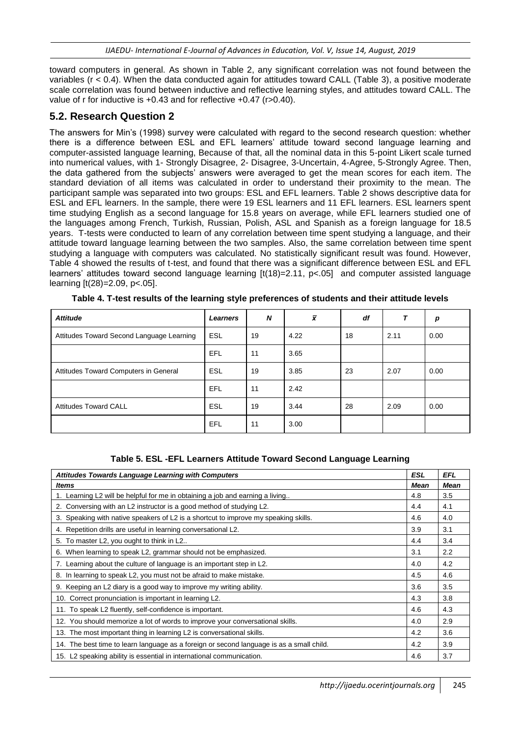toward computers in general. As shown in Table 2, any significant correlation was not found between the variables (r < 0.4). When the data conducted again for attitudes toward CALL (Table 3), a positive moderate scale correlation was found between inductive and reflective learning styles, and attitudes toward CALL. The value of r for inductive is +0.43 and for reflective +0.47 (r>0.40).

# **5.2. Research Question 2**

The answers for Min"s (1998) survey were calculated with regard to the second research question: whether there is a difference between ESL and EFL learners" attitude toward second language learning and computer-assisted language learning, Because of that, all the nominal data in this 5-point Likert scale turned into numerical values, with 1- Strongly Disagree, 2- Disagree, 3-Uncertain, 4-Agree, 5-Strongly Agree. Then, the data gathered from the subjects" answers were averaged to get the mean scores for each item. The standard deviation of all items was calculated in order to understand their proximity to the mean. The participant sample was separated into two groups: ESL and EFL learners. Table 2 shows descriptive data for ESL and EFL learners. In the sample, there were 19 ESL learners and 11 EFL learners. ESL learners spent time studying English as a second language for 15.8 years on average, while EFL learners studied one of the languages among French, Turkish, Russian, Polish, ASL and Spanish as a foreign language for 18.5 years. T-tests were conducted to learn of any correlation between time spent studying a language, and their attitude toward language learning between the two samples. Also, the same correlation between time spent studying a language with computers was calculated. No statistically significant result was found. However, Table 4 showed the results of t-test, and found that there was a significant difference between ESL and EFL learners' attitudes toward second language learning  $[t(18)=2.11, p<0.65]$  and computer assisted language learning [t(28)=2.09, p<.05].

| <b>Attitude</b>                           | <b>Learners</b> | N  | $\bar{x}$ | df |      | p    |
|-------------------------------------------|-----------------|----|-----------|----|------|------|
| Attitudes Toward Second Language Learning | <b>ESL</b>      | 19 | 4.22      | 18 | 2.11 | 0.00 |
|                                           | EFL             | 11 | 3.65      |    |      |      |
| Attitudes Toward Computers in General     | <b>ESL</b>      | 19 | 3.85      | 23 | 2.07 | 0.00 |
|                                           | EFL             | 11 | 2.42      |    |      |      |
| <b>Attitudes Toward CALL</b>              | <b>ESL</b>      | 19 | 3.44      | 28 | 2.09 | 0.00 |
|                                           | EFL             | 11 | 3.00      |    |      |      |

**Table 4. T-test results of the learning style preferences of students and their attitude levels**

### **Table 5. ESL -EFL Learners Attitude Toward Second Language Learning**

| <b>Attitudes Towards Language Learning with Computers</b>                                | <b>ESL</b> | <b>EFL</b>  |
|------------------------------------------------------------------------------------------|------------|-------------|
| <b>Items</b>                                                                             | Mean       | <b>Mean</b> |
| 1. Learning L2 will be helpful for me in obtaining a job and earning a living            | 4.8        | 3.5         |
| 2. Conversing with an L2 instructor is a good method of studying L2.                     | 4.4        | 4.1         |
| 3. Speaking with native speakers of L2 is a shortcut to improve my speaking skills.      | 4.6        | 4.0         |
| 4. Repetition drills are useful in learning conversational L2.                           | 3.9        | 3.1         |
| 5. To master L2, you ought to think in L2                                                | 4.4        | 3.4         |
| 6. When learning to speak L2, grammar should not be emphasized.                          | 3.1        | 2.2         |
| 7. Learning about the culture of language is an important step in L2.                    | 4.0        | 4.2         |
| 8. In learning to speak L2, you must not be afraid to make mistake.                      | 4.5        | 4.6         |
| 9. Keeping an L2 diary is a good way to improve my writing ability.                      | 3.6        | 3.5         |
| 10. Correct pronunciation is important in learning L2.                                   | 4.3        | 3.8         |
| 11. To speak L2 fluently, self-confidence is important.                                  | 4.6        | 4.3         |
| 12. You should memorize a lot of words to improve your conversational skills.            | 4.0        | 2.9         |
| 13. The most important thing in learning L2 is conversational skills.                    | 4.2        | 3.6         |
| 14. The best time to learn language as a foreign or second language is as a small child. | 4.2        | 3.9         |
| 15. L2 speaking ability is essential in international communication.                     | 4.6        | 3.7         |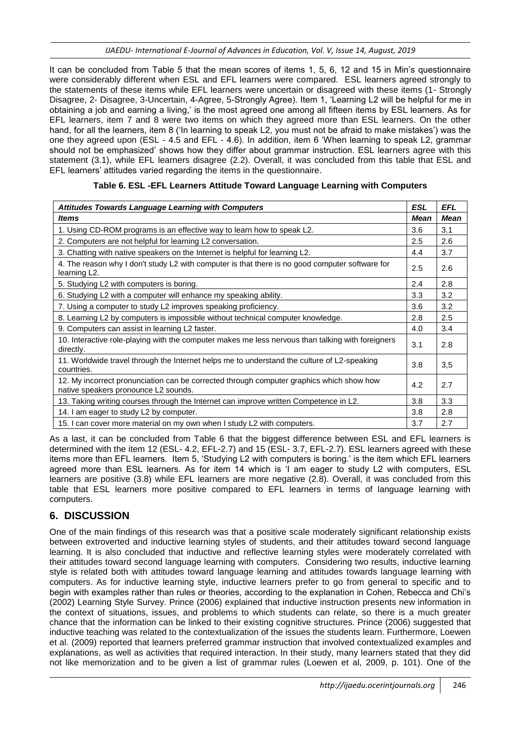It can be concluded from Table 5 that the mean scores of items 1, 5, 6, 12 and 15 in Min"s questionnaire were considerably different when ESL and EFL learners were compared. ESL learners agreed strongly to the statements of these items while EFL learners were uncertain or disagreed with these items (1- Strongly Disagree, 2- Disagree, 3-Uncertain, 4-Agree, 5-Strongly Agree). Item 1, "Learning L2 will be helpful for me in obtaining a job and earning a living," is the most agreed one among all fifteen items by ESL learners. As for EFL learners, item 7 and 8 were two items on which they agreed more than ESL learners. On the other hand, for all the learners, item 8 ("In learning to speak L2, you must not be afraid to make mistakes") was the one they agreed upon (ESL - 4.5 and EFL - 4.6). In addition, item 6 "When learning to speak L2, grammar should not be emphasized" shows how they differ about grammar instruction. ESL learners agree with this statement (3.1), while EFL learners disagree (2.2). Overall, it was concluded from this table that ESL and EFL learners" attitudes varied regarding the items in the questionnaire.

| <b>Attitudes Towards Language Learning with Computers</b>                                                                        | <b>ESL</b>  | <b>EFL</b>  |
|----------------------------------------------------------------------------------------------------------------------------------|-------------|-------------|
| ltems                                                                                                                            | <b>Mean</b> | <b>Mean</b> |
| 1. Using CD-ROM programs is an effective way to learn how to speak L2.                                                           | 3.6         | 3.1         |
| 2. Computers are not helpful for learning L2 conversation.                                                                       | 2.5         | 2.6         |
| 3. Chatting with native speakers on the Internet is helpful for learning L2.                                                     | 4.4         | 3.7         |
| 4. The reason why I don't study L2 with computer is that there is no good computer software for<br>learning L2.                  | 2.5         | 2.6         |
| 5. Studying L2 with computers is boring.                                                                                         | 2.4         | 2.8         |
| 6. Studying L2 with a computer will enhance my speaking ability.                                                                 | 3.3         | 3.2         |
| 7. Using a computer to study L2 improves speaking proficiency.                                                                   | 3.6         | 3.2         |
| 8. Learning L2 by computers is impossible without technical computer knowledge.                                                  | 2.8         | 2.5         |
| 9. Computers can assist in learning L2 faster.                                                                                   | 4.0         | 3.4         |
| 10. Interactive role-playing with the computer makes me less nervous than talking with foreigners<br>directly.                   | 3.1         | 2.8         |
| 11. Worldwide travel through the Internet helps me to understand the culture of L2-speaking<br>countries.                        | 3.8         | 3,5         |
| 12. My incorrect pronunciation can be corrected through computer graphics which show how<br>native speakers pronounce L2 sounds. | 4.2         | 2.7         |
| 13. Taking writing courses through the Internet can improve written Competence in L2.                                            | 3.8         | 3.3         |
| 14. I am eager to study L2 by computer.                                                                                          | 3.8         | 2.8         |
| 15. I can cover more material on my own when I study L2 with computers.                                                          | 3.7         | 2.7         |

### **Table 6. ESL -EFL Learners Attitude Toward Language Learning with Computers**

As a last, it can be concluded from Table 6 that the biggest difference between ESL and EFL learners is determined with the item 12 (ESL- 4.2, EFL-2.7) and 15 (ESL- 3.7, EFL-2.7). ESL learners agreed with these items more than EFL learners. Item 5, "Studying L2 with computers is boring." is the item which EFL learners agreed more than ESL learners. As for item 14 which is "I am eager to study L2 with computers, ESL learners are positive (3.8) while EFL learners are more negative (2.8). Overall, it was concluded from this table that ESL learners more positive compared to EFL learners in terms of language learning with computers.

## **6. DISCUSSION**

One of the main findings of this research was that a positive scale moderately significant relationship exists between extroverted and inductive learning styles of students, and their attitudes toward second language learning. It is also concluded that inductive and reflective learning styles were moderately correlated with their attitudes toward second language learning with computers. Considering two results, inductive learning style is related both with attitudes toward language learning and attitudes towards language learning with computers. As for inductive learning style, inductive learners prefer to go from general to specific and to begin with examples rather than rules or theories, according to the explanation in Cohen, Rebecca and Chi"s (2002) Learning Style Survey. Prince (2006) explained that inductive instruction presents new information in the context of situations, issues, and problems to which students can relate, so there is a much greater chance that the information can be linked to their existing cognitive structures. Prince (2006) suggested that inductive teaching was related to the contextualization of the issues the students learn. Furthermore, Loewen et al. (2009) reported that learners preferred grammar instruction that involved contextualized examples and explanations, as well as activities that required interaction. In their study, many learners stated that they did not like memorization and to be given a list of grammar rules (Loewen et al, 2009, p. 101). One of the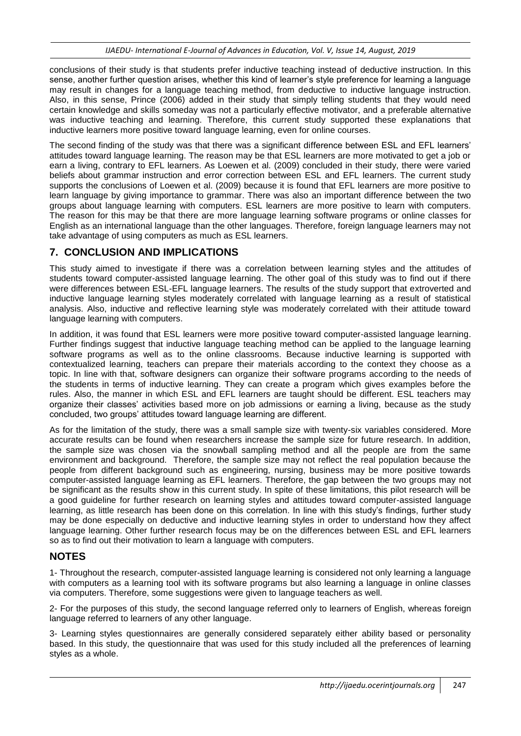conclusions of their study is that students prefer inductive teaching instead of deductive instruction. In this sense, another further question arises, whether this kind of learner"s style preference for learning a language may result in changes for a language teaching method, from deductive to inductive language instruction. Also, in this sense, Prince (2006) added in their study that simply telling students that they would need certain knowledge and skills someday was not a particularly effective motivator, and a preferable alternative was inductive teaching and learning. Therefore, this current study supported these explanations that inductive learners more positive toward language learning, even for online courses.

The second finding of the study was that there was a significant difference between ESL and EFL learners' attitudes toward language learning. The reason may be that ESL learners are more motivated to get a job or earn a living, contrary to EFL learners. As Loewen et al. (2009) concluded in their study, there were varied beliefs about grammar instruction and error correction between ESL and EFL learners. The current study supports the conclusions of Loewen et al. (2009) because it is found that EFL learners are more positive to learn language by giving importance to grammar. There was also an important difference between the two groups about language learning with computers. ESL learners are more positive to learn with computers. The reason for this may be that there are more language learning software programs or online classes for English as an international language than the other languages. Therefore, foreign language learners may not take advantage of using computers as much as ESL learners.

### **7. CONCLUSION AND IMPLICATIONS**

This study aimed to investigate if there was a correlation between learning styles and the attitudes of students toward computer-assisted language learning. The other goal of this study was to find out if there were differences between ESL-EFL language learners. The results of the study support that extroverted and inductive language learning styles moderately correlated with language learning as a result of statistical analysis. Also, inductive and reflective learning style was moderately correlated with their attitude toward language learning with computers.

In addition, it was found that ESL learners were more positive toward computer-assisted language learning. Further findings suggest that inductive language teaching method can be applied to the language learning software programs as well as to the online classrooms. Because inductive learning is supported with contextualized learning, teachers can prepare their materials according to the context they choose as a topic. In line with that, software designers can organize their software programs according to the needs of the students in terms of inductive learning. They can create a program which gives examples before the rules. Also, the manner in which ESL and EFL learners are taught should be different. ESL teachers may organize their classes" activities based more on job admissions or earning a living, because as the study concluded, two groups" attitudes toward language learning are different.

As for the limitation of the study, there was a small sample size with twenty-six variables considered. More accurate results can be found when researchers increase the sample size for future research. In addition, the sample size was chosen via the snowball sampling method and all the people are from the same environment and background. Therefore, the sample size may not reflect the real population because the people from different background such as engineering, nursing, business may be more positive towards computer-assisted language learning as EFL learners. Therefore, the gap between the two groups may not be significant as the results show in this current study. In spite of these limitations, this pilot research will be a good guideline for further research on learning styles and attitudes toward computer-assisted language learning, as little research has been done on this correlation. In line with this study"s findings, further study may be done especially on deductive and inductive learning styles in order to understand how they affect language learning. Other further research focus may be on the differences between ESL and EFL learners so as to find out their motivation to learn a language with computers.

## **NOTES**

1- Throughout the research, computer-assisted language learning is considered not only learning a language with computers as a learning tool with its software programs but also learning a language in online classes via computers. Therefore, some suggestions were given to language teachers as well.

2- For the purposes of this study, the second language referred only to learners of English, whereas foreign language referred to learners of any other language.

3- Learning styles questionnaires are generally considered separately either ability based or personality based. In this study, the questionnaire that was used for this study included all the preferences of learning styles as a whole.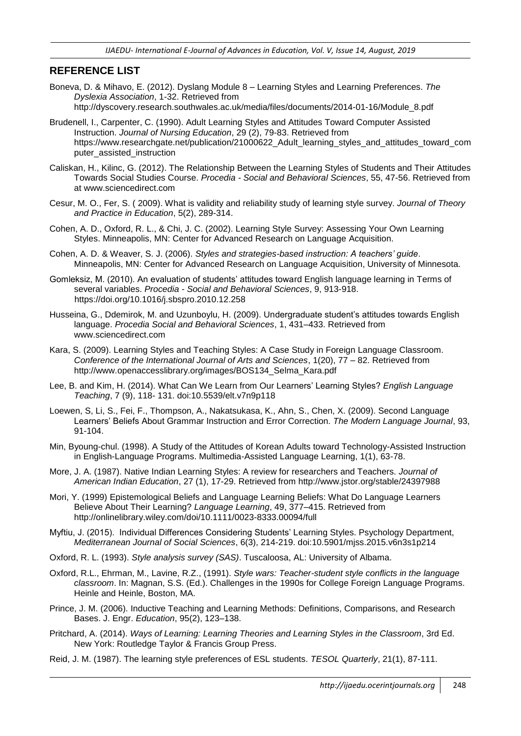### **REFERENCE LIST**

- Boneva, D. & Mihavo, E. (2012). Dyslang Module 8 Learning Styles and Learning Preferences. *The Dyslexia Association*, 1-32. Retrieved from http://dyscovery.research.southwales.ac.uk/media/files/documents/2014-01-16/Module\_8.pdf
- Brudenell, I., Carpenter, C. (1990). Adult Learning Styles and Attitudes Toward Computer Assisted Instruction. *Journal of Nursing Education*, 29 (2), 79-83. Retrieved from https://www.researchgate.net/publication/21000622 Adult\_learning\_styles\_and\_attitudes\_toward\_com puter\_assisted\_instruction
- Caliskan, H., Kilinc, G. (2012). The Relationship Between the Learning Styles of Students and Their Attitudes Towards Social Studies Course. *Procedia - Social and Behavioral Sciences*, 55, 47-56. Retrieved from at www.sciencedirect.com
- Cesur, M. O., Fer, S. ( 2009). What is validity and reliability study of learning style survey. *Journal of Theory and Practice in Education*, 5(2), 289-314.
- Cohen, A. D., Oxford, R. L., & Chi, J. C. (2002). Learning Style Survey: Assessing Your Own Learning Styles. Minneapolis, MN: Center for Advanced Research on Language Acquisition.
- Cohen, A. D. & Weaver, S. J. (2006). *Styles and strategies-based instruction: A teachers' guide*. Minneapolis, MN: Center for Advanced Research on Language Acquisition, University of Minnesota.
- Gomleksiz, M. (2010). An evaluation of students" attitudes toward English language learning in Terms of several variables. *Procedia - Social and Behavioral Sciences*, 9, 913-918. https://doi.org/10.1016/j.sbspro.2010.12.258
- Husseina, G., Ddemirok, M. and Uzunboylu, H. (2009). Undergraduate student"s attitudes towards English language. *Procedia Social and Behavioral Sciences*, 1, 431–433. Retrieved from www.sciencedirect.com
- Kara, S. (2009). Learning Styles and Teaching Styles: A Case Study in Foreign Language Classroom. *Conference of the International Journal of Arts and Sciences*, 1(20), 77 – 82. Retrieved from http://www.openaccesslibrary.org/images/BOS134\_Selma\_Kara.pdf
- Lee, B. and Kim, H. (2014). What Can We Learn from Our Learners" Learning Styles? *English Language Teaching*, 7 (9), 118- 131. doi:10.5539/elt.v7n9p118
- Loewen, S, Li, S., Fei, F., Thompson, A., Nakatsukasa, K., Ahn, S., Chen, X. (2009). Second Language Learners" Beliefs About Grammar Instruction and Error Correction. *The Modern Language Journal*, 93, 91-104.
- Min, Byoung-chul. (1998). A Study of the Attitudes of Korean Adults toward Technology-Assisted Instruction in English-Language Programs. Multimedia-Assisted Language Learning, 1(1), 63-78.
- More, J. A. (1987). Native Indian Learning Styles: A review for researchers and Teachers. *Journal of American Indian Education*, 27 (1), 17-29. Retrieved from http://www.jstor.org/stable/24397988
- Mori, Y. (1999) Epistemological Beliefs and Language Learning Beliefs: What Do Language Learners Believe About Their Learning? *Language Learning*, 49, 377–415. Retrieved from http://onlinelibrary.wiley.com/doi/10.1111/0023-8333.00094/full
- Myftiu, J. (2015). Individual Differences Considering Students" Learning Styles. Psychology Department, *Mediterranean Journal of Social Sciences*, 6(3), 214-219. doi:10.5901/mjss.2015.v6n3s1p214
- Oxford, R. L. (1993). *Style analysis survey (SAS)*. Tuscaloosa, AL: University of Albama.
- Oxford, R.L., Ehrman, M., Lavine, R.Z., (1991). *Style wars: Teacher-student style conflicts in the language classroom*. In: Magnan, S.S. (Ed.). Challenges in the 1990s for College Foreign Language Programs. Heinle and Heinle, Boston, MA.
- Prince, J. M. (2006). Inductive Teaching and Learning Methods: Definitions, Comparisons, and Research Bases. J. Engr. *Education*, 95(2), 123–138.
- Pritchard, A. (2014). *Ways of Learning: Learning Theories and Learning Styles in the Classroom*, 3rd Ed. New York: Routledge Taylor & Francis Group Press.
- Reid, J. M. (1987). The learning style preferences of ESL students. *TESOL Quarterly*, 21(1), 87-111.